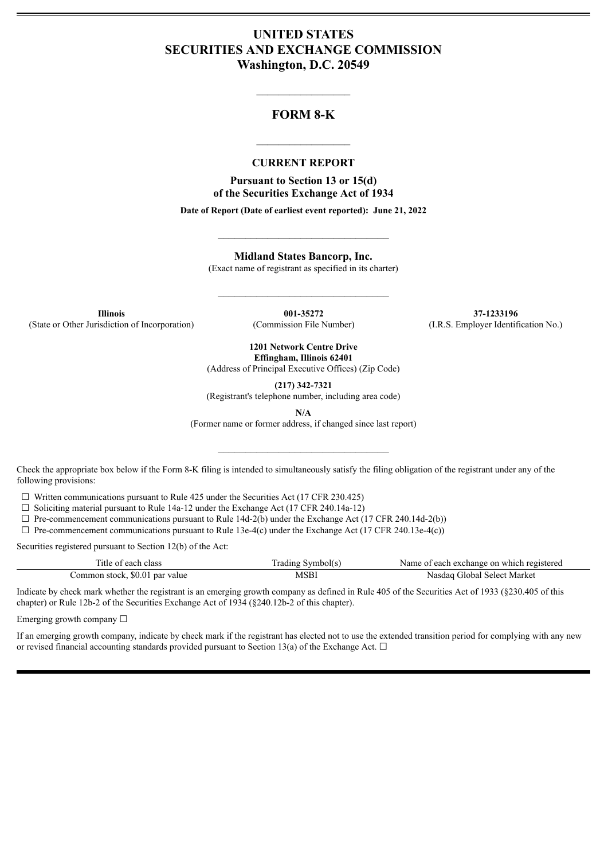# **UNITED STATES SECURITIES AND EXCHANGE COMMISSION Washington, D.C. 20549**

## **FORM 8-K**

 $\mathcal{L}=\mathcal{L}^{\mathcal{L}}$  , we have the set of the set of the set of the set of the set of the set of the set of the set of the set of the set of the set of the set of the set of the set of the set of the set of the set of th

#### **CURRENT REPORT**

 $\frac{1}{2}$  ,  $\frac{1}{2}$  ,  $\frac{1}{2}$  ,  $\frac{1}{2}$  ,  $\frac{1}{2}$  ,  $\frac{1}{2}$  ,  $\frac{1}{2}$ 

**Pursuant to Section 13 or 15(d) of the Securities Exchange Act of 1934**

**Date of Report (Date of earliest event reported): June 21, 2022**

 $\_$ 

**Midland States Bancorp, Inc.**

(Exact name of registrant as specified in its charter)

 $\mathcal{L}_\text{max}$  and  $\mathcal{L}_\text{max}$  and  $\mathcal{L}_\text{max}$ 

(State or Other Jurisdiction of Incorporation) (Commission File Number) (I.R.S. Employer Identification No.)

**Illinois 001-35272 37-1233196**

**1201 Network Centre Drive Effingham, Illinois 62401**

(Address of Principal Executive Offices) (Zip Code)

**(217) 342-7321**

(Registrant's telephone number, including area code)

**N/A**

(Former name or former address, if changed since last report)

 $\mathcal{L}_\text{max}$  and  $\mathcal{L}_\text{max}$  and  $\mathcal{L}_\text{max}$ 

Check the appropriate box below if the Form 8-K filing is intended to simultaneously satisfy the filing obligation of the registrant under any of the following provisions:

 $\Box$  Written communications pursuant to Rule 425 under the Securities Act (17 CFR 230.425)

 $\Box$  Soliciting material pursuant to Rule 14a-12 under the Exchange Act (17 CFR 240.14a-12)

 $\Box$  Pre-commencement communications pursuant to Rule 14d-2(b) under the Exchange Act (17 CFR 240.14d-2(b))

 $\Box$  Pre-commencement communications pursuant to Rule 13e-4(c) under the Exchange Act (17 CFR 240.13e-4(c))

Securities registered pursuant to Section 12(b) of the Act:

| Title of each class            | Trading Symbol(s) | Name of each exchange on which registered |
|--------------------------------|-------------------|-------------------------------------------|
| Common stock, \$0.01 par value | <b>MSBI</b>       | Nasdag Global Select Market               |

Indicate by check mark whether the registrant is an emerging growth company as defined in Rule 405 of the Securities Act of 1933 (§230.405 of this chapter) or Rule 12b-2 of the Securities Exchange Act of 1934 (§240.12b-2 of this chapter).

Emerging growth company  $\Box$ 

If an emerging growth company, indicate by check mark if the registrant has elected not to use the extended transition period for complying with any new or revised financial accounting standards provided pursuant to Section 13(a) of the Exchange Act.  $\Box$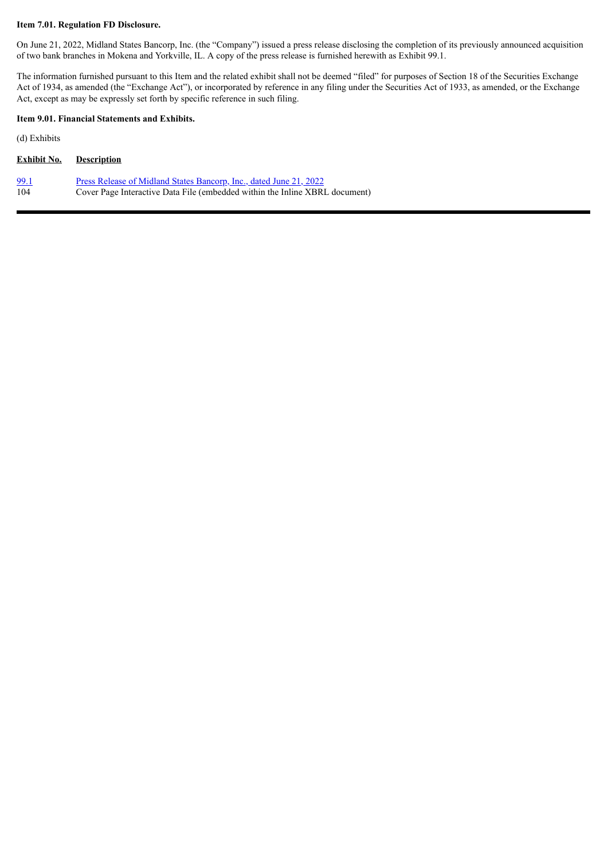#### **Item 7.01. Regulation FD Disclosure.**

On June 21, 2022, Midland States Bancorp, Inc. (the "Company") issued a press release disclosing the completion of its previously announced acquisition of two bank branches in Mokena and Yorkville, IL. A copy of the press release is furnished herewith as Exhibit 99.1.

The information furnished pursuant to this Item and the related exhibit shall not be deemed "filed" for purposes of Section 18 of the Securities Exchange Act of 1934, as amended (the "Exchange Act"), or incorporated by reference in any filing under the Securities Act of 1933, as amended, or the Exchange Act, except as may be expressly set forth by specific reference in such filing.

#### **Item 9.01. Financial Statements and Exhibits.**

(d) Exhibits

| Exhibit No. | <b>Description</b>                                                          |
|-------------|-----------------------------------------------------------------------------|
| 99.1        | Press Release of Midland States Bancorp, Inc., dated June 21, 2022          |
| -104        | Cover Page Interactive Data File (embedded within the Inline XBRL document) |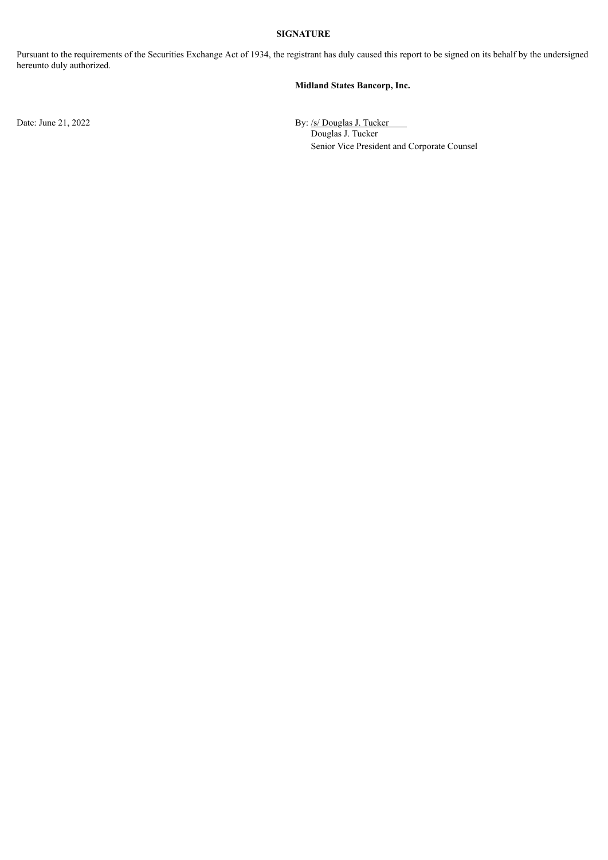### **SIGNATURE**

Pursuant to the requirements of the Securities Exchange Act of 1934, the registrant has duly caused this report to be signed on its behalf by the undersigned hereunto duly authorized.

#### **Midland States Bancorp, Inc.**

Date: June 21, 2022 By: /s/ Douglas J. Tucker Douglas J. Tucker Senior Vice President and Corporate Counsel